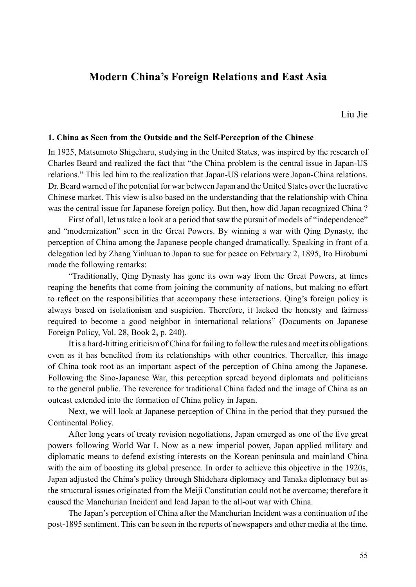# **Modern China's Foreign Relations and East Asia**

Liu Jie

### **1. China as Seen from the Outside and the Self-Perception of the Chinese**

In 1925, Matsumoto Shigeharu, studying in the United States, was inspired by the research of Charles Beard and realized the fact that "the China problem is the central issue in Japan-US relations." This led him to the realization that Japan-US relations were Japan-China relations. Dr. Beard warned of the potential for war between Japan and the United States over the lucrative Chinese market. This view is also based on the understanding that the relationship with China was the central issue for Japanese foreign policy. But then, how did Japan recognized China ?

First of all, let us take a look at a period that saw the pursuit of models of "independence" and "modernization" seen in the Great Powers. By winning a war with Qing Dynasty, the perception of China among the Japanese people changed dramatically. Speaking in front of a delegation led by Zhang Yinhuan to Japan to sue for peace on February 2, 1895, Ito Hirobumi made the following remarks:

"Traditionally, Qing Dynasty has gone its own way from the Great Powers, at times reaping the benefits that come from joining the community of nations, but making no effort to reflect on the responsibilities that accompany these interactions. Qing's foreign policy is always based on isolationism and suspicion. Therefore, it lacked the honesty and fairness required to become a good neighbor in international relations" (Documents on Japanese Foreign Policy, Vol. 28, Book 2, p. 240).

It is a hard-hitting criticism of China for failing to follow the rules and meet its obligations even as it has benefited from its relationships with other countries. Thereafter, this image of China took root as an important aspect of the perception of China among the Japanese. Following the Sino-Japanese War, this perception spread beyond diplomats and politicians to the general public. The reverence for traditional China faded and the image of China as an outcast extended into the formation of China policy in Japan.

Next, we will look at Japanese perception of China in the period that they pursued the Continental Policy.

After long years of treaty revision negotiations, Japan emerged as one of the five great powers following World War I. Now as a new imperial power, Japan applied military and diplomatic means to defend existing interests on the Korean peninsula and mainland China with the aim of boosting its global presence. In order to achieve this objective in the 1920s, Japan adjusted the China's policy through Shidehara diplomacy and Tanaka diplomacy but as the structural issues originated from the Meiji Constitution could not be overcome; therefore it caused the Manchurian Incident and lead Japan to the all-out war with China.

The Japan's perception of China after the Manchurian Incident was a continuation of the post-1895 sentiment. This can be seen in the reports of newspapers and other media at the time.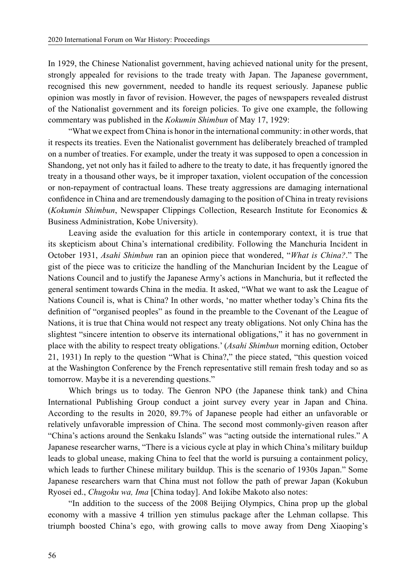In 1929, the Chinese Nationalist government, having achieved national unity for the present, strongly appealed for revisions to the trade treaty with Japan. The Japanese government, recognised this new government, needed to handle its request seriously. Japanese public opinion was mostly in favor of revision. However, the pages of newspapers revealed distrust of the Nationalist government and its foreign policies. To give one example, the following commentary was published in the *Kokumin Shimbun* of May 17, 1929:

"What we expect from China is honor in the international community: in other words, that it respects its treaties. Even the Nationalist government has deliberately breached of trampled on a number of treaties. For example, under the treaty it was supposed to open a concession in Shandong, yet not only has it failed to adhere to the treaty to date, it has frequently ignored the treaty in a thousand other ways, be it improper taxation, violent occupation of the concession or non-repayment of contractual loans. These treaty aggressions are damaging international confidence in China and are tremendously damaging to the position of China in treaty revisions (*Kokumin Shimbun*, Newspaper Clippings Collection, Research Institute for Economics & Business Administration, Kobe University).

Leaving aside the evaluation for this article in contemporary context, it is true that its skepticism about China's international credibility. Following the Manchuria Incident in October 1931, *Asahi Shimbun* ran an opinion piece that wondered, "*What is China?*." The gist of the piece was to criticize the handling of the Manchurian Incident by the League of Nations Council and to justify the Japanese Army's actions in Manchuria, but it reflected the general sentiment towards China in the media. It asked, "What we want to ask the League of Nations Council is, what is China? In other words, 'no matter whether today's China fits the definition of "organised peoples" as found in the preamble to the Covenant of the League of Nations, it is true that China would not respect any treaty obligations. Not only China has the slightest "sincere intention to observe its international obligations," it has no government in place with the ability to respect treaty obligations.' (*Asahi Shimbun* morning edition, October 21, 1931) In reply to the question "What is China?," the piece stated, "this question voiced at the Washington Conference by the French representative still remain fresh today and so as tomorrow. Maybe it is a neverending questions."

Which brings us to today. The Genron NPO (the Japanese think tank) and China International Publishing Group conduct a joint survey every year in Japan and China. According to the results in 2020, 89.7% of Japanese people had either an unfavorable or relatively unfavorable impression of China. The second most commonly-given reason after "China's actions around the Senkaku Islands" was "acting outside the international rules." A Japanese researcher warns, "There is a vicious cycle at play in which China's military buildup leads to global unease, making China to feel that the world is pursuing a containment policy, which leads to further Chinese military buildup. This is the scenario of 1930s Japan." Some Japanese researchers warn that China must not follow the path of prewar Japan (Kokubun Ryosei ed., *Chugoku wa, Ima* [China today]. And Iokibe Makoto also notes:

"In addition to the success of the 2008 Beijing Olympics, China prop up the global economy with a massive 4 trillion yen stimulus package after the Lehman collapse. This triumph boosted China's ego, with growing calls to move away from Deng Xiaoping's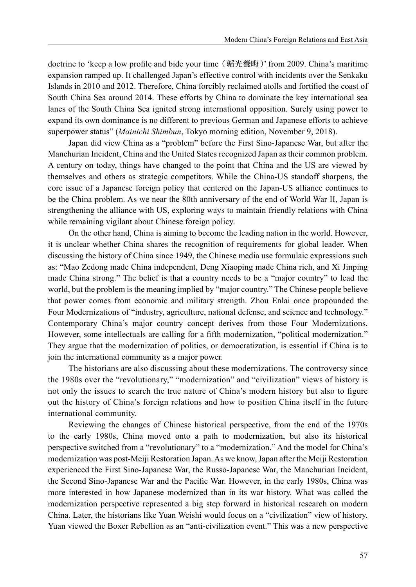doctrine to 'keep a low profile and bide your time (韜光養晦)' from 2009. China's maritime expansion ramped up. It challenged Japan's effective control with incidents over the Senkaku Islands in 2010 and 2012. Therefore, China forcibly reclaimed atolls and fortified the coast of South China Sea around 2014. These efforts by China to dominate the key international sea lanes of the South China Sea ignited strong international opposition. Surely using power to expand its own dominance is no different to previous German and Japanese efforts to achieve superpower status" (*Mainichi Shimbun*, Tokyo morning edition, November 9, 2018).

Japan did view China as a "problem" before the First Sino-Japanese War, but after the Manchurian Incident, China and the United States recognized Japan as their common problem. A century on today, things have changed to the point that China and the US are viewed by themselves and others as strategic competitors. While the China-US standoff sharpens, the core issue of a Japanese foreign policy that centered on the Japan-US alliance continues to be the China problem. As we near the 80th anniversary of the end of World War II, Japan is strengthening the alliance with US, exploring ways to maintain friendly relations with China while remaining vigilant about Chinese foreign policy.

On the other hand, China is aiming to become the leading nation in the world. However, it is unclear whether China shares the recognition of requirements for global leader. When discussing the history of China since 1949, the Chinese media use formulaic expressions such as: "Mao Zedong made China independent, Deng Xiaoping made China rich, and Xi Jinping made China strong." The belief is that a country needs to be a "major country" to lead the world, but the problem is the meaning implied by "major country." The Chinese people believe that power comes from economic and military strength. Zhou Enlai once propounded the Four Modernizations of "industry, agriculture, national defense, and science and technology." Contemporary China's major country concept derives from those Four Modernizations. However, some intellectuals are calling for a fifth modernization, "political modernization." They argue that the modernization of politics, or democratization, is essential if China is to join the international community as a major power.

The historians are also discussing about these modernizations. The controversy since the 1980s over the "revolutionary," "modernization" and "civilization" views of history is not only the issues to search the true nature of China's modern history but also to figure out the history of China's foreign relations and how to position China itself in the future international community.

Reviewing the changes of Chinese historical perspective, from the end of the 1970s to the early 1980s, China moved onto a path to modernization, but also its historical perspective switched from a "revolutionary" to a "modernization." And the model for China's modernization was post-Meiji Restoration Japan. As we know, Japan after the Meiji Restoration experienced the First Sino-Japanese War, the Russo-Japanese War, the Manchurian Incident, the Second Sino-Japanese War and the Pacific War. However, in the early 1980s, China was more interested in how Japanese modernized than in its war history. What was called the modernization perspective represented a big step forward in historical research on modern China. Later, the historians like Yuan Weishi would focus on a "civilization" view of history. Yuan viewed the Boxer Rebellion as an "anti-civilization event." This was a new perspective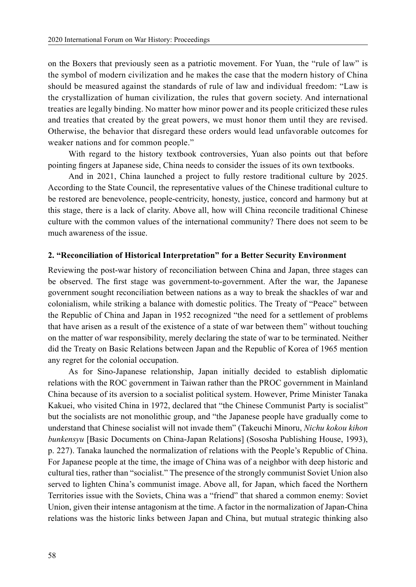on the Boxers that previously seen as a patriotic movement. For Yuan, the "rule of law" is the symbol of modern civilization and he makes the case that the modern history of China should be measured against the standards of rule of law and individual freedom: "Law is the crystallization of human civilization, the rules that govern society. And international treaties are legally binding. No matter how minor power and its people criticized these rules and treaties that created by the great powers, we must honor them until they are revised. Otherwise, the behavior that disregard these orders would lead unfavorable outcomes for weaker nations and for common people."

With regard to the history textbook controversies, Yuan also points out that before pointing fingers at Japanese side, China needs to consider the issues of its own textbooks.

And in 2021, China launched a project to fully restore traditional culture by 2025. According to the State Council, the representative values of the Chinese traditional culture to be restored are benevolence, people-centricity, honesty, justice, concord and harmony but at this stage, there is a lack of clarity. Above all, how will China reconcile traditional Chinese culture with the common values of the international community? There does not seem to be much awareness of the issue.

#### **2. "Reconciliation of Historical Interpretation" for a Better Security Environment**

Reviewing the post-war history of reconciliation between China and Japan, three stages can be observed. The first stage was government-to-government. After the war, the Japanese government sought reconciliation between nations as a way to break the shackles of war and colonialism, while striking a balance with domestic politics. The Treaty of "Peace" between the Republic of China and Japan in 1952 recognized "the need for a settlement of problems that have arisen as a result of the existence of a state of war between them" without touching on the matter of war responsibility, merely declaring the state of war to be terminated. Neither did the Treaty on Basic Relations between Japan and the Republic of Korea of 1965 mention any regret for the colonial occupation.

As for Sino-Japanese relationship, Japan initially decided to establish diplomatic relations with the ROC government in Taiwan rather than the PROC government in Mainland China because of its aversion to a socialist political system. However, Prime Minister Tanaka Kakuei, who visited China in 1972, declared that "the Chinese Communist Party is socialist" but the socialists are not monolithic group, and "the Japanese people have gradually come to understand that Chinese socialist will not invade them" (Takeuchi Minoru, *Nichu kokou kihon bunkensyu* [Basic Documents on China-Japan Relations] (Sososha Publishing House, 1993), p. 227). Tanaka launched the normalization of relations with the People's Republic of China. For Japanese people at the time, the image of China was of a neighbor with deep historic and cultural ties, rather than "socialist." The presence of the strongly communist Soviet Union also served to lighten China's communist image. Above all, for Japan, which faced the Northern Territories issue with the Soviets, China was a "friend" that shared a common enemy: Soviet Union, given their intense antagonism at the time. A factor in the normalization of Japan-China relations was the historic links between Japan and China, but mutual strategic thinking also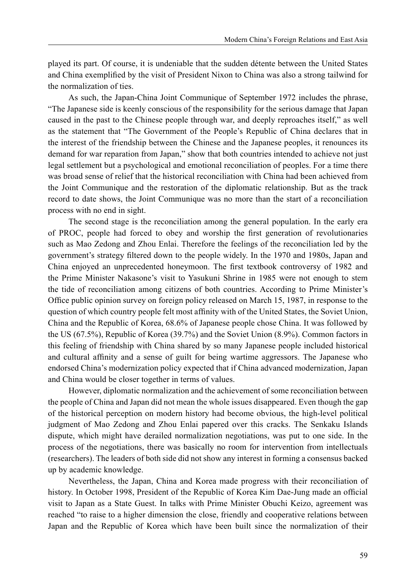played its part. Of course, it is undeniable that the sudden détente between the United States and China exemplified by the visit of President Nixon to China was also a strong tailwind for the normalization of ties.

As such, the Japan-China Joint Communique of September 1972 includes the phrase, "The Japanese side is keenly conscious of the responsibility for the serious damage that Japan caused in the past to the Chinese people through war, and deeply reproaches itself," as well as the statement that "The Government of the People's Republic of China declares that in the interest of the friendship between the Chinese and the Japanese peoples, it renounces its demand for war reparation from Japan," show that both countries intended to achieve not just legal settlement but a psychological and emotional reconciliation of peoples. For a time there was broad sense of relief that the historical reconciliation with China had been achieved from the Joint Communique and the restoration of the diplomatic relationship. But as the track record to date shows, the Joint Communique was no more than the start of a reconciliation process with no end in sight.

The second stage is the reconciliation among the general population. In the early era of PROC, people had forced to obey and worship the first generation of revolutionaries such as Mao Zedong and Zhou Enlai. Therefore the feelings of the reconciliation led by the government's strategy filtered down to the people widely. In the 1970 and 1980s, Japan and China enjoyed an unprecedented honeymoon. The first textbook controversy of 1982 and the Prime Minister Nakasone's visit to Yasukuni Shrine in 1985 were not enough to stem the tide of reconciliation among citizens of both countries. According to Prime Minister's Office public opinion survey on foreign policy released on March 15, 1987, in response to the question of which country people felt most affinity with of the United States, the Soviet Union, China and the Republic of Korea, 68.6% of Japanese people chose China. It was followed by the US (67.5%), Republic of Korea (39.7%) and the Soviet Union (8.9%). Common factors in this feeling of friendship with China shared by so many Japanese people included historical and cultural affinity and a sense of guilt for being wartime aggressors. The Japanese who endorsed China's modernization policy expected that if China advanced modernization, Japan and China would be closer together in terms of values.

However, diplomatic normalization and the achievement of some reconciliation between the people of China and Japan did not mean the whole issues disappeared. Even though the gap of the historical perception on modern history had become obvious, the high-level political judgment of Mao Zedong and Zhou Enlai papered over this cracks. The Senkaku Islands dispute, which might have derailed normalization negotiations, was put to one side. In the process of the negotiations, there was basically no room for intervention from intellectuals (researchers). The leaders of both side did not show any interest in forming a consensus backed up by academic knowledge.

Nevertheless, the Japan, China and Korea made progress with their reconciliation of history. In October 1998, President of the Republic of Korea Kim Dae-Jung made an official visit to Japan as a State Guest. In talks with Prime Minister Obuchi Keizo, agreement was reached "to raise to a higher dimension the close, friendly and cooperative relations between Japan and the Republic of Korea which have been built since the normalization of their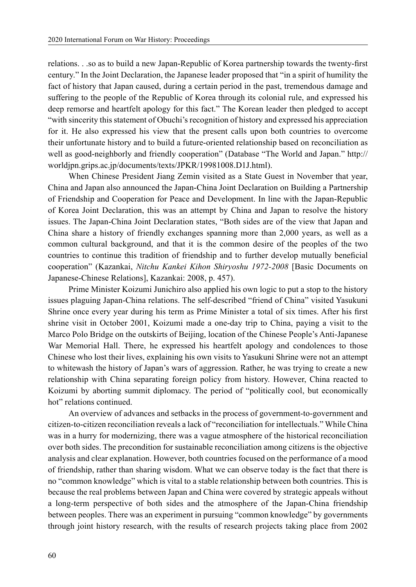relations. . .so as to build a new Japan-Republic of Korea partnership towards the twenty-first century." In the Joint Declaration, the Japanese leader proposed that "in a spirit of humility the fact of history that Japan caused, during a certain period in the past, tremendous damage and suffering to the people of the Republic of Korea through its colonial rule, and expressed his deep remorse and heartfelt apology for this fact." The Korean leader then pledged to accept "with sincerity this statement of Obuchi's recognition of history and expressed his appreciation for it. He also expressed his view that the present calls upon both countries to overcome their unfortunate history and to build a future-oriented relationship based on reconciliation as well as good-neighborly and friendly cooperation" (Database "The World and Japan." http:// worldjpn.grips.ac.jp/documents/texts/JPKR/19981008.D1J.html).

When Chinese President Jiang Zemin visited as a State Guest in November that year, China and Japan also announced the Japan-China Joint Declaration on Building a Partnership of Friendship and Cooperation for Peace and Development. In line with the Japan-Republic of Korea Joint Declaration, this was an attempt by China and Japan to resolve the history issues. The Japan-China Joint Declaration states, "Both sides are of the view that Japan and China share a history of friendly exchanges spanning more than 2,000 years, as well as a common cultural background, and that it is the common desire of the peoples of the two countries to continue this tradition of friendship and to further develop mutually beneficial cooperation" (Kazankai, *Nitchu Kankei Kihon Shiryoshu 1972-2008* [Basic Documents on Japanese-Chinese Relations], Kazankai: 2008, p. 457).

Prime Minister Koizumi Junichiro also applied his own logic to put a stop to the history issues plaguing Japan-China relations. The self-described "friend of China" visited Yasukuni Shrine once every year during his term as Prime Minister a total of six times. After his first shrine visit in October 2001, Koizumi made a one-day trip to China, paying a visit to the Marco Polo Bridge on the outskirts of Beijing, location of the Chinese People's Anti-Japanese War Memorial Hall. There, he expressed his heartfelt apology and condolences to those Chinese who lost their lives, explaining his own visits to Yasukuni Shrine were not an attempt to whitewash the history of Japan's wars of aggression. Rather, he was trying to create a new relationship with China separating foreign policy from history. However, China reacted to Koizumi by aborting summit diplomacy. The period of "politically cool, but economically hot" relations continued.

An overview of advances and setbacks in the process of government-to-government and citizen-to-citizen reconciliation reveals a lack of "reconciliation for intellectuals." While China was in a hurry for modernizing, there was a vague atmosphere of the historical reconciliation over both sides. The precondition for sustainable reconciliation among citizens is the objective analysis and clear explanation. However, both countries focused on the performance of a mood of friendship, rather than sharing wisdom. What we can observe today is the fact that there is no "common knowledge" which is vital to a stable relationship between both countries. This is because the real problems between Japan and China were covered by strategic appeals without a long-term perspective of both sides and the atmosphere of the Japan-China friendship between peoples. There was an experiment in pursuing "common knowledge" by governments through joint history research, with the results of research projects taking place from 2002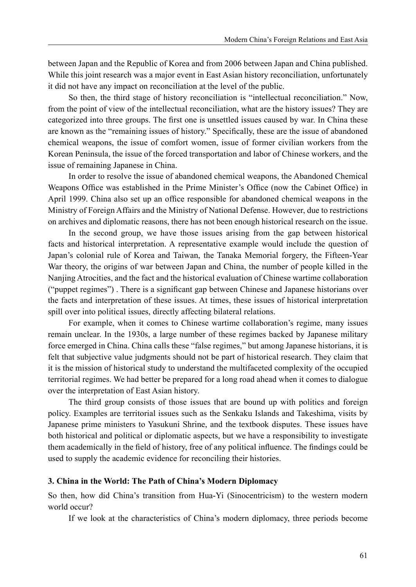between Japan and the Republic of Korea and from 2006 between Japan and China published. While this joint research was a major event in East Asian history reconciliation, unfortunately it did not have any impact on reconciliation at the level of the public.

So then, the third stage of history reconciliation is "intellectual reconciliation." Now, from the point of view of the intellectual reconciliation, what are the history issues? They are categorized into three groups. The first one is unsettled issues caused by war. In China these are known as the "remaining issues of history." Specifically, these are the issue of abandoned chemical weapons, the issue of comfort women, issue of former civilian workers from the Korean Peninsula, the issue of the forced transportation and labor of Chinese workers, and the issue of remaining Japanese in China.

In order to resolve the issue of abandoned chemical weapons, the Abandoned Chemical Weapons Office was established in the Prime Minister's Office (now the Cabinet Office) in April 1999. China also set up an office responsible for abandoned chemical weapons in the Ministry of Foreign Affairs and the Ministry of National Defense. However, due to restrictions on archives and diplomatic reasons, there has not been enough historical research on the issue.

In the second group, we have those issues arising from the gap between historical facts and historical interpretation. A representative example would include the question of Japan's colonial rule of Korea and Taiwan, the Tanaka Memorial forgery, the Fifteen-Year War theory, the origins of war between Japan and China, the number of people killed in the Nanjing Atrocities, and the fact and the historical evaluation of Chinese wartime collaboration ("puppet regimes") . There is a significant gap between Chinese and Japanese historians over the facts and interpretation of these issues. At times, these issues of historical interpretation spill over into political issues, directly affecting bilateral relations.

For example, when it comes to Chinese wartime collaboration's regime, many issues remain unclear. In the 1930s, a large number of these regimes backed by Japanese military force emerged in China. China calls these "false regimes," but among Japanese historians, it is felt that subjective value judgments should not be part of historical research. They claim that it is the mission of historical study to understand the multifaceted complexity of the occupied territorial regimes. We had better be prepared for a long road ahead when it comes to dialogue over the interpretation of East Asian history.

The third group consists of those issues that are bound up with politics and foreign policy. Examples are territorial issues such as the Senkaku Islands and Takeshima, visits by Japanese prime ministers to Yasukuni Shrine, and the textbook disputes. These issues have both historical and political or diplomatic aspects, but we have a responsibility to investigate them academically in the field of history, free of any political influence. The findings could be used to supply the academic evidence for reconciling their histories.

## **3. China in the World: The Path of China's Modern Diplomacy**

So then, how did China's transition from Hua-Yi (Sinocentricism) to the western modern world occur?

If we look at the characteristics of China's modern diplomacy, three periods become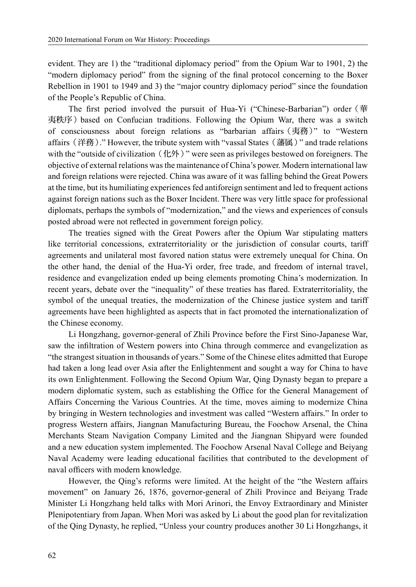evident. They are 1) the "traditional diplomacy period" from the Opium War to 1901, 2) the "modern diplomacy period" from the signing of the final protocol concerning to the Boxer Rebellion in 1901 to 1949 and 3) the "major country diplomacy period" since the foundation of the People's Republic of China.

The first period involved the pursuit of Hua-Yi ("Chinese-Barbarian") order(華 夷秩序)based on Confucian traditions. Following the Opium War, there was a switch of consciousness about foreign relations as "barbarian affairs(夷務)" to "Western affairs (洋務)." However, the tribute system with "vassal States (藩属)" and trade relations with the "outside of civilization  $(1.1/2)$ " were seen as privileges bestowed on foreigners. The objective of external relations was the maintenance of China's power. Modern international law and foreign relations were rejected. China was aware of it was falling behind the Great Powers at the time, but its humiliating experiences fed antiforeign sentiment and led to frequent actions against foreign nations such as the Boxer Incident. There was very little space for professional diplomats, perhaps the symbols of "modernization," and the views and experiences of consuls posted abroad were not reflected in government foreign policy.

The treaties signed with the Great Powers after the Opium War stipulating matters like territorial concessions, extraterritoriality or the jurisdiction of consular courts, tariff agreements and unilateral most favored nation status were extremely unequal for China. On the other hand, the denial of the Hua-Yi order, free trade, and freedom of internal travel, residence and evangelization ended up being elements promoting China's modernization. In recent years, debate over the "inequality" of these treaties has flared. Extraterritoriality, the symbol of the unequal treaties, the modernization of the Chinese justice system and tariff agreements have been highlighted as aspects that in fact promoted the internationalization of the Chinese economy.

Li Hongzhang, governor-general of Zhili Province before the First Sino-Japanese War, saw the infiltration of Western powers into China through commerce and evangelization as "the strangest situation in thousands of years." Some of the Chinese elites admitted that Europe had taken a long lead over Asia after the Enlightenment and sought a way for China to have its own Enlightenment. Following the Second Opium War, Qing Dynasty began to prepare a modern diplomatic system, such as establishing the Office for the General Management of Affairs Concerning the Various Countries. At the time, moves aiming to modernize China by bringing in Western technologies and investment was called "Western affairs." In order to progress Western affairs, Jiangnan Manufacturing Bureau, the Foochow Arsenal, the China Merchants Steam Navigation Company Limited and the Jiangnan Shipyard were founded and a new education system implemented. The Foochow Arsenal Naval College and Beiyang Naval Academy were leading educational facilities that contributed to the development of naval officers with modern knowledge.

However, the Qing's reforms were limited. At the height of the "the Western affairs movement" on January 26, 1876, governor-general of Zhili Province and Beiyang Trade Minister Li Hongzhang held talks with Mori Arinori, the Envoy Extraordinary and Minister Plenipotentiary from Japan. When Mori was asked by Li about the good plan for revitalization of the Qing Dynasty, he replied, "Unless your country produces another 30 Li Hongzhangs, it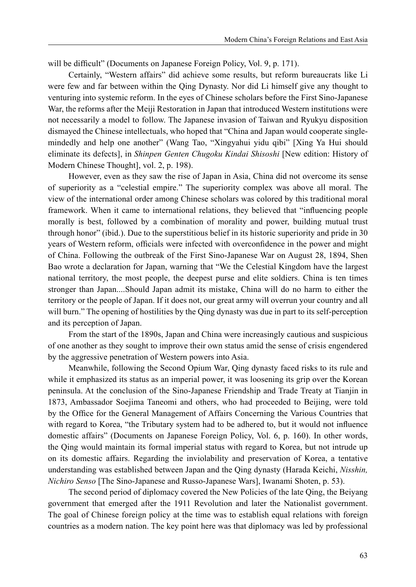will be difficult" (Documents on Japanese Foreign Policy, Vol. 9, p. 171).

Certainly, "Western affairs" did achieve some results, but reform bureaucrats like Li were few and far between within the Qing Dynasty. Nor did Li himself give any thought to venturing into systemic reform. In the eyes of Chinese scholars before the First Sino-Japanese War, the reforms after the Meiji Restoration in Japan that introduced Western institutions were not necessarily a model to follow. The Japanese invasion of Taiwan and Ryukyu disposition dismayed the Chinese intellectuals, who hoped that "China and Japan would cooperate singlemindedly and help one another" (Wang Tao, "Xingyahui yidu qibi" [Xing Ya Hui should eliminate its defects], in *Shinpen Genten Chugoku Kindai Shisoshi* [New edition: History of Modern Chinese Thought], vol. 2, p. 198).

However, even as they saw the rise of Japan in Asia, China did not overcome its sense of superiority as a "celestial empire." The superiority complex was above all moral. The view of the international order among Chinese scholars was colored by this traditional moral framework. When it came to international relations, they believed that "influencing people morally is best, followed by a combination of morality and power, building mutual trust through honor" (ibid.). Due to the superstitious belief in its historic superiority and pride in 30 years of Western reform, officials were infected with overconfidence in the power and might of China. Following the outbreak of the First Sino-Japanese War on August 28, 1894, Shen Bao wrote a declaration for Japan, warning that "We the Celestial Kingdom have the largest national territory, the most people, the deepest purse and elite soldiers. China is ten times stronger than Japan....Should Japan admit its mistake, China will do no harm to either the territory or the people of Japan. If it does not, our great army will overrun your country and all will burn." The opening of hostilities by the Qing dynasty was due in part to its self-perception and its perception of Japan.

From the start of the 1890s, Japan and China were increasingly cautious and suspicious of one another as they sought to improve their own status amid the sense of crisis engendered by the aggressive penetration of Western powers into Asia.

Meanwhile, following the Second Opium War, Qing dynasty faced risks to its rule and while it emphasized its status as an imperial power, it was loosening its grip over the Korean peninsula. At the conclusion of the Sino-Japanese Friendship and Trade Treaty at Tianjin in 1873, Ambassador Soejima Taneomi and others, who had proceeded to Beijing, were told by the Office for the General Management of Affairs Concerning the Various Countries that with regard to Korea, "the Tributary system had to be adhered to, but it would not influence domestic affairs" (Documents on Japanese Foreign Policy, Vol. 6, p. 160). In other words, the Qing would maintain its formal imperial status with regard to Korea, but not intrude up on its domestic affairs. Regarding the inviolability and preservation of Korea, a tentative understanding was established between Japan and the Qing dynasty (Harada Keichi, *Nisshin, Nichiro Senso* [The Sino-Japanese and Russo-Japanese Wars], Iwanami Shoten, p. 53).

The second period of diplomacy covered the New Policies of the late Qing, the Beiyang government that emerged after the 1911 Revolution and later the Nationalist government. The goal of Chinese foreign policy at the time was to establish equal relations with foreign countries as a modern nation. The key point here was that diplomacy was led by professional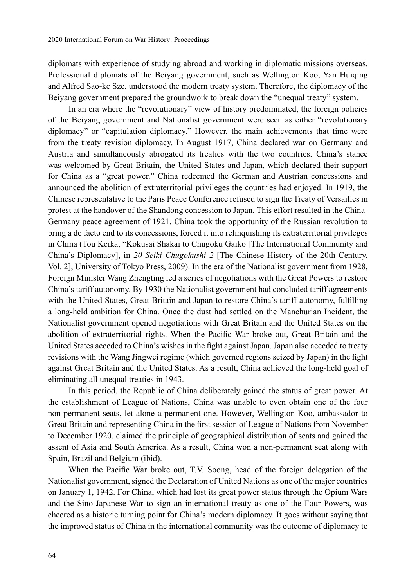diplomats with experience of studying abroad and working in diplomatic missions overseas. Professional diplomats of the Beiyang government, such as Wellington Koo, Yan Huiqing and Alfred Sao-ke Sze, understood the modern treaty system. Therefore, the diplomacy of the Beiyang government prepared the groundwork to break down the "unequal treaty" system.

In an era where the "revolutionary" view of history predominated, the foreign policies of the Beiyang government and Nationalist government were seen as either "revolutionary diplomacy" or "capitulation diplomacy." However, the main achievements that time were from the treaty revision diplomacy. In August 1917, China declared war on Germany and Austria and simultaneously abrogated its treaties with the two countries. China's stance was welcomed by Great Britain, the United States and Japan, which declared their support for China as a "great power." China redeemed the German and Austrian concessions and announced the abolition of extraterritorial privileges the countries had enjoyed. In 1919, the Chinese representative to the Paris Peace Conference refused to sign the Treaty of Versailles in protest at the handover of the Shandong concession to Japan. This effort resulted in the China-Germany peace agreement of 1921. China took the opportunity of the Russian revolution to bring a de facto end to its concessions, forced it into relinquishing its extraterritorial privileges in China (Tou Keika, "Kokusai Shakai to Chugoku Gaiko [The International Community and China's Diplomacy], in *20 Seiki Chugokushi 2* [The Chinese History of the 20th Century, Vol. 2], University of Tokyo Press, 2009). In the era of the Nationalist government from 1928, Foreign Minister Wang Zhengting led a series of negotiations with the Great Powers to restore China's tariff autonomy. By 1930 the Nationalist government had concluded tariff agreements with the United States, Great Britain and Japan to restore China's tariff autonomy, fulfilling a long-held ambition for China. Once the dust had settled on the Manchurian Incident, the Nationalist government opened negotiations with Great Britain and the United States on the abolition of extraterritorial rights. When the Pacific War broke out, Great Britain and the United States acceded to China's wishes in the fight against Japan. Japan also acceded to treaty revisions with the Wang Jingwei regime (which governed regions seized by Japan) in the fight against Great Britain and the United States. As a result, China achieved the long-held goal of eliminating all unequal treaties in 1943.

In this period, the Republic of China deliberately gained the status of great power. At the establishment of League of Nations, China was unable to even obtain one of the four non-permanent seats, let alone a permanent one. However, Wellington Koo, ambassador to Great Britain and representing China in the first session of League of Nations from November to December 1920, claimed the principle of geographical distribution of seats and gained the assent of Asia and South America. As a result, China won a non-permanent seat along with Spain, Brazil and Belgium (ibid).

When the Pacific War broke out, T.V. Soong, head of the foreign delegation of the Nationalist government, signed the Declaration of United Nations as one of the major countries on January 1, 1942. For China, which had lost its great power status through the Opium Wars and the Sino-Japanese War to sign an international treaty as one of the Four Powers, was cheered as a historic turning point for China's modern diplomacy. It goes without saying that the improved status of China in the international community was the outcome of diplomacy to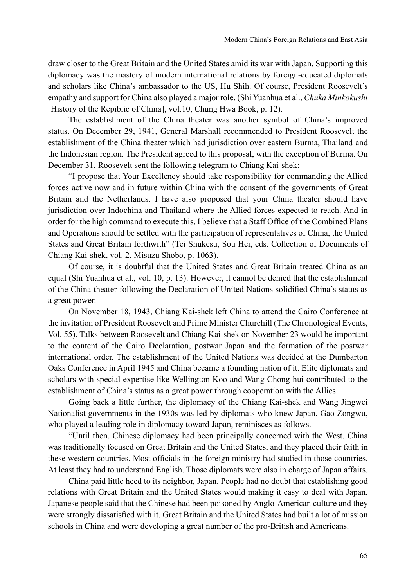draw closer to the Great Britain and the United States amid its war with Japan. Supporting this diplomacy was the mastery of modern international relations by foreign-educated diplomats and scholars like China's ambassador to the US, Hu Shih. Of course, President Roosevelt's empathy and support for China also played a major role. (Shi Yuanhua et al., *Chuka Minkokushi* [History of the Repiblic of China], vol.10, Chung Hwa Book, p. 12).

The establishment of the China theater was another symbol of China's improved status. On December 29, 1941, General Marshall recommended to President Roosevelt the establishment of the China theater which had jurisdiction over eastern Burma, Thailand and the Indonesian region. The President agreed to this proposal, with the exception of Burma. On December 31, Roosevelt sent the following telegram to Chiang Kai-shek:

"I propose that Your Excellency should take responsibility for commanding the Allied forces active now and in future within China with the consent of the governments of Great Britain and the Netherlands. I have also proposed that your China theater should have jurisdiction over Indochina and Thailand where the Allied forces expected to reach. And in order for the high command to execute this, I believe that a Staff Office of the Combined Plans and Operations should be settled with the participation of representatives of China, the United States and Great Britain forthwith" (Tei Shukesu, Sou Hei, eds. Collection of Documents of Chiang Kai-shek, vol. 2. Misuzu Shobo, p. 1063).

Of course, it is doubtful that the United States and Great Britain treated China as an equal (Shi Yuanhua et al., vol. 10, p. 13). However, it cannot be denied that the establishment of the China theater following the Declaration of United Nations solidified China's status as a great power.

On November 18, 1943, Chiang Kai-shek left China to attend the Cairo Conference at the invitation of President Roosevelt and Prime Minister Churchill (The Chronological Events, Vol. 55). Talks between Roosevelt and Chiang Kai-shek on November 23 would be important to the content of the Cairo Declaration, postwar Japan and the formation of the postwar international order. The establishment of the United Nations was decided at the Dumbarton Oaks Conference in April 1945 and China became a founding nation of it. Elite diplomats and scholars with special expertise like Wellington Koo and Wang Chong-hui contributed to the establishment of China's status as a great power through cooperation with the Allies.

Going back a little further, the diplomacy of the Chiang Kai-shek and Wang Jingwei Nationalist governments in the 1930s was led by diplomats who knew Japan. Gao Zongwu, who played a leading role in diplomacy toward Japan, reminisces as follows.

"Until then, Chinese diplomacy had been principally concerned with the West. China was traditionally focused on Great Britain and the United States, and they placed their faith in these western countries. Most officials in the foreign ministry had studied in those countries. At least they had to understand English. Those diplomats were also in charge of Japan affairs.

China paid little heed to its neighbor, Japan. People had no doubt that establishing good relations with Great Britain and the United States would making it easy to deal with Japan. Japanese people said that the Chinese had been poisoned by Anglo-American culture and they were strongly dissatisfied with it. Great Britain and the United States had built a lot of mission schools in China and were developing a great number of the pro-British and Americans.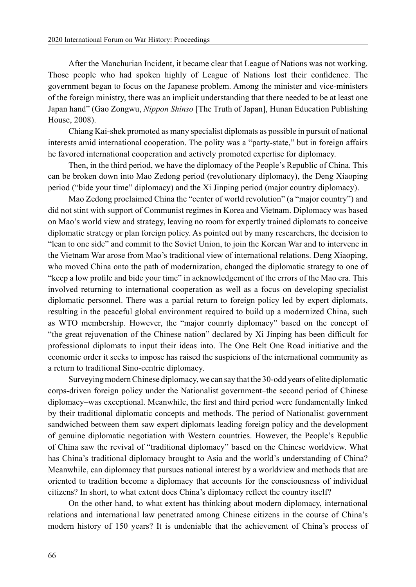After the Manchurian Incident, it became clear that League of Nations was not working. Those people who had spoken highly of League of Nations lost their confidence. The government began to focus on the Japanese problem. Among the minister and vice-ministers of the foreign ministry, there was an implicit understanding that there needed to be at least one Japan hand" (Gao Zongwu, *Nippon Shinso* [The Truth of Japan], Hunan Education Publishing House, 2008).

Chiang Kai-shek promoted as many specialist diplomats as possible in pursuit of national interests amid international cooperation. The polity was a "party-state," but in foreign affairs he favored international cooperation and actively promoted expertise for diplomacy.

Then, in the third period, we have the diplomacy of the People's Republic of China. This can be broken down into Mao Zedong period (revolutionary diplomacy), the Deng Xiaoping period ("bide your time" diplomacy) and the Xi Jinping period (major country diplomacy).

Mao Zedong proclaimed China the "center of world revolution" (a "major country") and did not stint with support of Communist regimes in Korea and Vietnam. Diplomacy was based on Mao's world view and strategy, leaving no room for expertly trained diplomats to conceive diplomatic strategy or plan foreign policy. As pointed out by many researchers, the decision to "lean to one side" and commit to the Soviet Union, to join the Korean War and to intervene in the Vietnam War arose from Mao's traditional view of international relations. Deng Xiaoping, who moved China onto the path of modernization, changed the diplomatic strategy to one of "keep a low profile and bide your time" in acknowledgement of the errors of the Mao era. This involved returning to international cooperation as well as a focus on developing specialist diplomatic personnel. There was a partial return to foreign policy led by expert diplomats, resulting in the peaceful global environment required to build up a modernized China, such as WTO membership. However, the "major counrty diplomacy" based on the concept of "the great rejuvenation of the Chinese nation" declared by Xi Jinping has been difficult for professional diplomats to input their ideas into. The One Belt One Road initiative and the economic order it seeks to impose has raised the suspicions of the international community as a return to traditional Sino-centric diplomacy.

Surveying modern Chinese diplomacy, we can say that the 30-odd years of elite diplomatic corps-driven foreign policy under the Nationalist government–the second period of Chinese diplomacy–was exceptional. Meanwhile, the first and third period were fundamentally linked by their traditional diplomatic concepts and methods. The period of Nationalist government sandwiched between them saw expert diplomats leading foreign policy and the development of genuine diplomatic negotiation with Western countries. However, the People's Republic of China saw the revival of "traditional diplomacy" based on the Chinese worldview. What has China's traditional diplomacy brought to Asia and the world's understanding of China? Meanwhile, can diplomacy that pursues national interest by a worldview and methods that are oriented to tradition become a diplomacy that accounts for the consciousness of individual citizens? In short, to what extent does China's diplomacy reflect the country itself?

On the other hand, to what extent has thinking about modern diplomacy, international relations and international law penetrated among Chinese citizens in the course of China's modern history of 150 years? It is undeniable that the achievement of China's process of